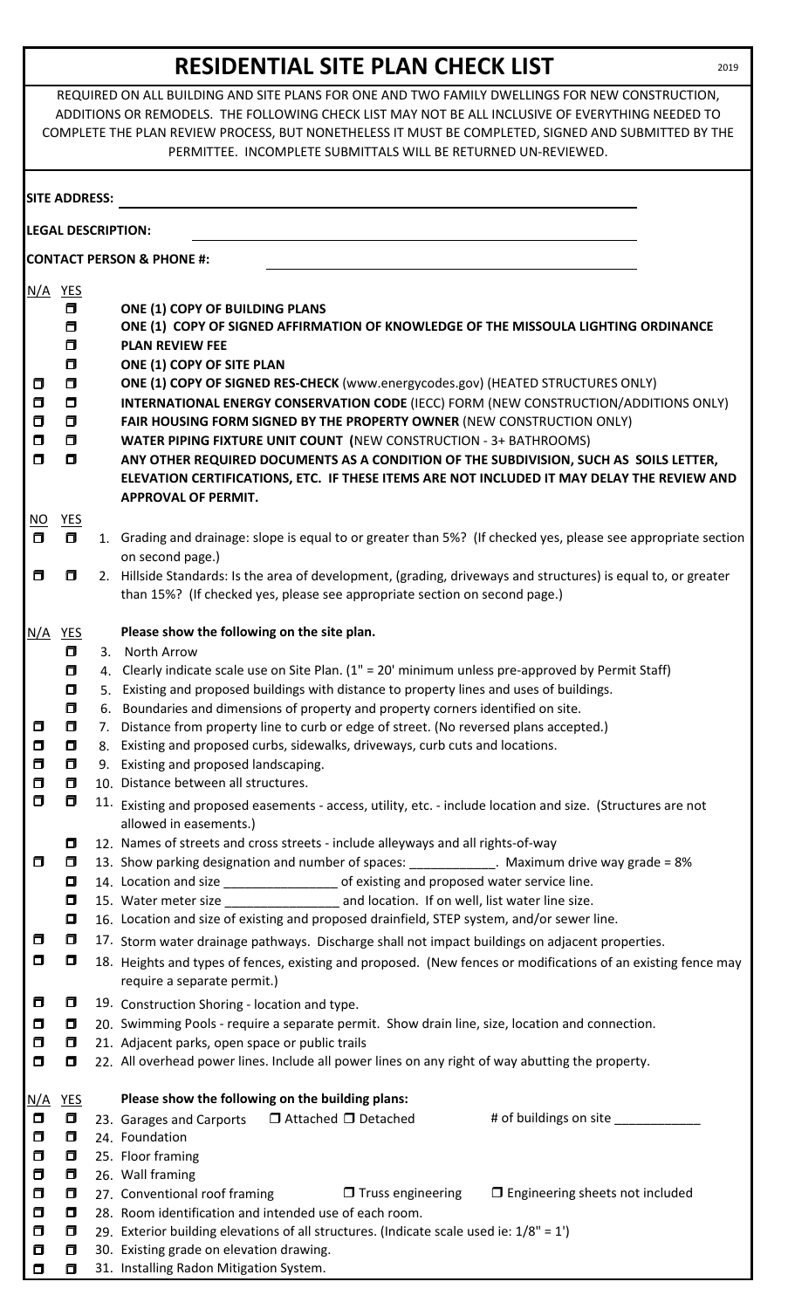## **RESIDENTIAL SITE PLAN CHECK LIST**

REQUIRED ON ALL BUILDING AND SITE PLANS FOR ONE AND TWO FAMILY DWELLINGS FOR NEW CONSTRUCTION, ADDITIONS OR REMODELS. THE FOLLOWING CHECK LIST MAY NOT BE ALL INCLUSIVE OF EVERYTHING NEEDED TO COMPLETE THE PLAN REVIEW PROCESS, BUT NONETHELESS IT MUST BE COMPLETED, SIGNED AND SUBMITTED BY THE PERMITTEE. INCOMPLETE SUBMITTALS WILL BE RETURNED UN-REVIEWED.

|                                                                             | <b>SITE ADDRESS:</b>                                                    |                                                                                                                                                                                                                                                                                                                                                                                                                                                                                                         |                                                                                                                                                                                                                                                                                                                                                                   |
|-----------------------------------------------------------------------------|-------------------------------------------------------------------------|---------------------------------------------------------------------------------------------------------------------------------------------------------------------------------------------------------------------------------------------------------------------------------------------------------------------------------------------------------------------------------------------------------------------------------------------------------------------------------------------------------|-------------------------------------------------------------------------------------------------------------------------------------------------------------------------------------------------------------------------------------------------------------------------------------------------------------------------------------------------------------------|
|                                                                             |                                                                         | <b>LEGAL DESCRIPTION:</b>                                                                                                                                                                                                                                                                                                                                                                                                                                                                               |                                                                                                                                                                                                                                                                                                                                                                   |
|                                                                             |                                                                         | <b>CONTACT PERSON &amp; PHONE #:</b>                                                                                                                                                                                                                                                                                                                                                                                                                                                                    |                                                                                                                                                                                                                                                                                                                                                                   |
| $N/A$ YES<br>0<br>α<br>$\Box$<br>$\Box$<br>α                                | α<br>$\Box$<br>$\Box$<br>Ο<br>$\Box$<br>$\Box$<br>$\Box$<br>$\Box$<br>0 | <b>ONE (1) COPY OF BUILDING PLANS</b><br><b>PLAN REVIEW FEE</b><br>ONE (1) COPY OF SITE PLAN<br><b>ONE (1) COPY OF SIGNED RES-CHECK</b> (www.energycodes.gov) (HEATED STRUCTURES ONLY)<br>FAIR HOUSING FORM SIGNED BY THE PROPERTY OWNER (NEW CONSTRUCTION ONLY)<br><b>WATER PIPING FIXTURE UNIT COUNT (NEW CONSTRUCTION - 3+ BATHROOMS)</b><br><b>APPROVAL OF PERMIT.</b>                                                                                                                              | ONE (1) COPY OF SIGNED AFFIRMATION OF KNOWLEDGE OF THE MISSOULA LIGHTING ORDINANCE<br>INTERNATIONAL ENERGY CONSERVATION CODE (IECC) FORM (NEW CONSTRUCTION/ADDITIONS ONLY)<br>ANY OTHER REQUIRED DOCUMENTS AS A CONDITION OF THE SUBDIVISION, SUCH AS SOILS LETTER,<br>ELEVATION CERTIFICATIONS, ETC. IF THESE ITEMS ARE NOT INCLUDED IT MAY DELAY THE REVIEW AND |
| $\underline{\mathsf{NO}}$<br>$\Box$                                         | <b>YES</b><br>$\Box$                                                    | on second page.)                                                                                                                                                                                                                                                                                                                                                                                                                                                                                        | 1. Grading and drainage: slope is equal to or greater than 5%? (If checked yes, please see appropriate section                                                                                                                                                                                                                                                    |
| ο                                                                           | о                                                                       | than 15%? (If checked yes, please see appropriate section on second page.)                                                                                                                                                                                                                                                                                                                                                                                                                              | 2. Hillside Standards: Is the area of development, (grading, driveways and structures) is equal to, or greater                                                                                                                                                                                                                                                    |
| <u>N/A</u>                                                                  | <b>YES</b><br>0<br>ο                                                    | Please show the following on the site plan.<br>3. North Arrow<br>4. Clearly indicate scale use on Site Plan. (1" = 20' minimum unless pre-approved by Permit Staff)                                                                                                                                                                                                                                                                                                                                     |                                                                                                                                                                                                                                                                                                                                                                   |
| ο<br>0<br>α<br>Ο<br>ο                                                       | $\Box$<br>Ο<br>α<br>ο<br>Ο<br>Ο<br>Ο                                    | Existing and proposed buildings with distance to property lines and uses of buildings.<br>5.<br>6. Boundaries and dimensions of property and property corners identified on site.<br>7. Distance from property line to curb or edge of street. (No reversed plans accepted.)<br>8. Existing and proposed curbs, sidewalks, driveways, curb cuts and locations.<br>9. Existing and proposed landscaping.<br>10. Distance between all structures.<br>allowed in easements.)                               | 11. Existing and proposed easements - access, utility, etc. - include location and size. (Structures are not                                                                                                                                                                                                                                                      |
| ο<br>α<br>Ο                                                                 | Ο<br>ο<br>ο<br>Ο<br>ο<br>α<br>Ο                                         | 12. Names of streets and cross streets - include alleyways and all rights-of-way<br>14. Location and size ____________________ of existing and proposed water service line.<br>15. Water meter size ___________________ and location. If on well, list water line size.<br>16. Location and size of existing and proposed drainfield, STEP system, and/or sewer line.<br>17. Storm water drainage pathways. Discharge shall not impact buildings on adjacent properties.<br>require a separate permit.) | 13. Show parking designation and number of spaces: ______________. Maximum drive way grade = 8%<br>18. Heights and types of fences, existing and proposed. (New fences or modifications of an existing fence may                                                                                                                                                  |
| α<br>0<br>ο<br>$\Box$                                                       | 0<br>Ο<br>0<br>0                                                        | 19. Construction Shoring - location and type.<br>20. Swimming Pools - require a separate permit. Show drain line, size, location and connection.<br>21. Adjacent parks, open space or public trails<br>22. All overhead power lines. Include all power lines on any right of way abutting the property.                                                                                                                                                                                                 |                                                                                                                                                                                                                                                                                                                                                                   |
| <u>N/A</u><br>$\Box$<br>α<br>0<br>α<br>α<br>$\Box$<br>0<br>$\Box$<br>$\Box$ | <b>YES</b><br>Ο<br>α<br>Ο<br>0<br>0<br>0<br>0<br>α<br>0                 | Please show the following on the building plans:<br>$\Box$ Attached $\Box$ Detached<br>23. Garages and Carports<br>24. Foundation<br>25. Floor framing<br>26. Wall framing<br>27. Conventional roof framing<br>28. Room identification and intended use of each room.<br>29. Exterior building elevations of all structures. (Indicate scale used ie: $1/8" = 1'$ )<br>30. Existing grade on elevation drawing.<br>31. Installing Radon Mitigation System.                                              | # of buildings on site ___________<br>$\Box$ Truss engineering<br>$\Box$ Engineering sheets not included                                                                                                                                                                                                                                                          |